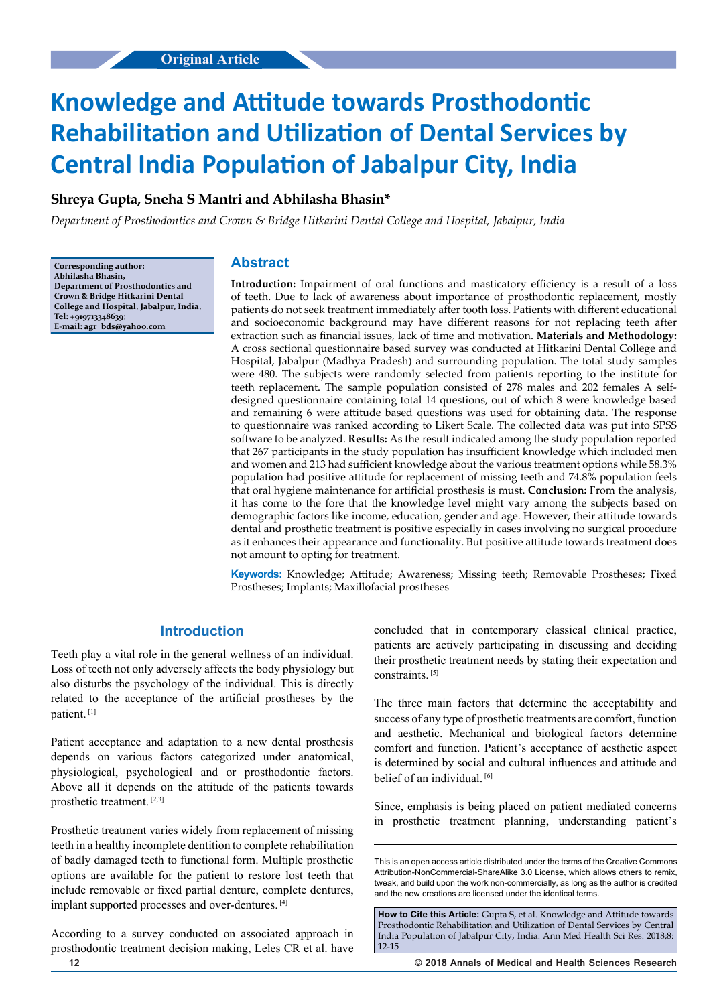# **Knowledge and Attitude towards Prosthodontic Rehabilitation and Utilization of Dental Services by Central India Population of Jabalpur City, India**

### **Shreya Gupta, Sneha S Mantri and Abhilasha Bhasin\***

*Department of Prosthodontics and Crown & Bridge Hitkarini Dental College and Hospital, Jabalpur, India*

**Corresponding author: Abhilasha Bhasin, Department of Prosthodontics and Crown & Bridge Hitkarini Dental College and Hospital, Jabalpur, India, Tel: +919713348639; E-mail: agr\_bds@yahoo.com**

#### **Abstract**

**Introduction:** Impairment of oral functions and masticatory efficiency is a result of a loss of teeth. Due to lack of awareness about importance of prosthodontic replacement, mostly patients do not seek treatment immediately after tooth loss. Patients with different educational and socioeconomic background may have different reasons for not replacing teeth after extraction such as financial issues, lack of time and motivation. **Materials and Methodology:** A cross sectional questionnaire based survey was conducted at Hitkarini Dental College and Hospital, Jabalpur (Madhya Pradesh) and surrounding population. The total study samples were 480. The subjects were randomly selected from patients reporting to the institute for teeth replacement. The sample population consisted of 278 males and 202 females A selfdesigned questionnaire containing total 14 questions, out of which 8 were knowledge based and remaining 6 were attitude based questions was used for obtaining data. The response to questionnaire was ranked according to Likert Scale. The collected data was put into SPSS software to be analyzed. **Results:** As the result indicated among the study population reported that 267 participants in the study population has insufficient knowledge which included men and women and 213 had sufficient knowledge about the various treatment options while 58.3% population had positive attitude for replacement of missing teeth and 74.8% population feels that oral hygiene maintenance for artificial prosthesis is must. **Conclusion:** From the analysis, it has come to the fore that the knowledge level might vary among the subjects based on demographic factors like income, education, gender and age. However, their attitude towards dental and prosthetic treatment is positive especially in cases involving no surgical procedure as it enhances their appearance and functionality. But positive attitude towards treatment does not amount to opting for treatment.

**Keywords:** Knowledge; Attitude; Awareness; Missing teeth; Removable Prostheses; Fixed Prostheses; Implants; Maxillofacial prostheses

### **Introduction**

Teeth play a vital role in the general wellness of an individual. Loss of teeth not only adversely affects the body physiology but also disturbs the psychology of the individual. This is directly related to the acceptance of the artificial prostheses by the patient. [1]

Patient acceptance and adaptation to a new dental prosthesis depends on various factors categorized under anatomical, physiological, psychological and or prosthodontic factors. Above all it depends on the attitude of the patients towards prosthetic treatment. [2,3]

Prosthetic treatment varies widely from replacement of missing teeth in a healthy incomplete dentition to complete rehabilitation of badly damaged teeth to functional form. Multiple prosthetic options are available for the patient to restore lost teeth that include removable or fixed partial denture, complete dentures, implant supported processes and over-dentures. [4]

According to a survey conducted on associated approach in prosthodontic treatment decision making, Leles CR et al. have

concluded that in contemporary classical clinical practice, patients are actively participating in discussing and deciding their prosthetic treatment needs by stating their expectation and constraints<sup>[5]</sup>

The three main factors that determine the acceptability and success of any type of prosthetic treatments are comfort, function and aesthetic. Mechanical and biological factors determine comfort and function. Patient's acceptance of aesthetic aspect is determined by social and cultural influences and attitude and belief of an individual. [6]

Since, emphasis is being placed on patient mediated concerns in prosthetic treatment planning, understanding patient's

How to Cite this Article: Gupta S, et al. Knowledge and Attitude towards Prosthodontic Rehabilitation and Utilization of Dental Services by Central India Population of Jabalpur City, India. Ann Med Health Sci Res. 2018;8: 12-15

This is an open access article distributed under the terms of the Creative Commons Attribution‑NonCommercial‑ShareAlike 3.0 License, which allows others to remix tweak, and build upon the work non‑commercially, as long as the author is credited and the new creations are licensed under the identical terms.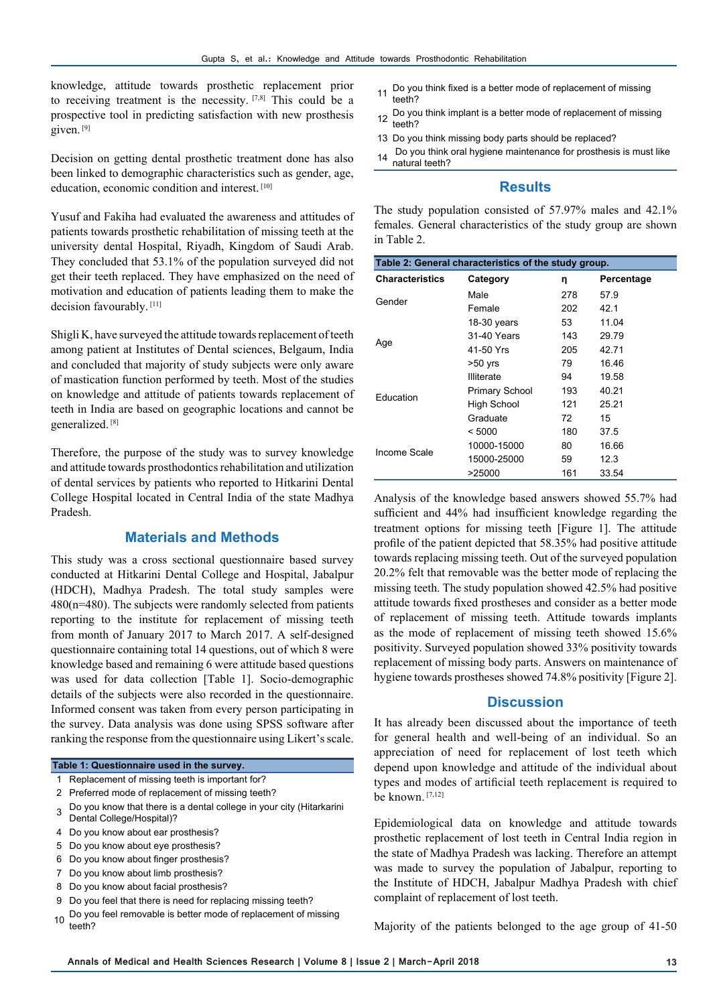knowledge, attitude towards prosthetic replacement prior to receiving treatment is the necessity. [7,8] This could be a prospective tool in predicting satisfaction with new prosthesis given. [9]

Decision on getting dental prosthetic treatment done has also been linked to demographic characteristics such as gender, age, education, economic condition and interest. [10]

Yusuf and Fakiha had evaluated the awareness and attitudes of patients towards prosthetic rehabilitation of missing teeth at the university dental Hospital, Riyadh, Kingdom of Saudi Arab. They concluded that 53.1% of the population surveyed did not get their teeth replaced. They have emphasized on the need of motivation and education of patients leading them to make the decision favourably.<sup>[11]</sup>

Shigli K, have surveyed the attitude towards replacement of teeth among patient at Institutes of Dental sciences, Belgaum, India and concluded that majority of study subjects were only aware of mastication function performed by teeth. Most of the studies on knowledge and attitude of patients towards replacement of teeth in India are based on geographic locations and cannot be generalized. [8]

Therefore, the purpose of the study was to survey knowledge and attitude towards prosthodontics rehabilitation and utilization of dental services by patients who reported to Hitkarini Dental College Hospital located in Central India of the state Madhya Pradesh.

#### **Materials and Methods**

This study was a cross sectional questionnaire based survey conducted at Hitkarini Dental College and Hospital, Jabalpur (HDCH), Madhya Pradesh. The total study samples were 480(n=480). The subjects were randomly selected from patients reporting to the institute for replacement of missing teeth from month of January 2017 to March 2017. A self-designed questionnaire containing total 14 questions, out of which 8 were knowledge based and remaining 6 were attitude based questions was used for data collection [Table 1]. Socio-demographic details of the subjects were also recorded in the questionnaire. Informed consent was taken from every person participating in the survey. Data analysis was done using SPSS software after ranking the response from the questionnaire using Likert's scale.

#### **Table 1: Questionnaire used in the survey.**

- 1 Replacement of missing teeth is important for?
- 2 Preferred mode of replacement of missing teeth?
- 3 Do you know that there is a dental college in your city (Hitarkarini Dental College/Hospital)?
- 4 Do you know about ear prosthesis?
- 5 Do you know about eye prosthesis?
- 6 Do you know about finger prosthesis?
- 7 Do you know about limb prosthesis?
- 8 Do you know about facial prosthesis?
- 9 Do you feel that there is need for replacing missing teeth?
- 10 Do you feel removable is better mode of replacement of missing teeth?
- 11 Do you think fixed is a better mode of replacement of missing teeth?
- 12 Do you think implant is a better mode of replacement of missing teeth?
- 13 Do you think missing body parts should be replaced?
- 14 Do you think oral hygiene maintenance for prosthesis is must like natural teeth?

# **Results** The study population consisted of 57.97% males and 42.1%

females. General characteristics of the study group are shown

| in Table 2.                                          |                    |     |            |
|------------------------------------------------------|--------------------|-----|------------|
| Table 2: General characteristics of the study group. |                    |     |            |
| <b>Characteristics</b>                               | Category           | η   | Percentage |
| Gender                                               | Male               | 278 | 57.9       |
|                                                      | Female             | 202 | 42.1       |
| Age                                                  | $18-30$ years      | 53. | 11.04      |
|                                                      | 31-40 Years        | 143 | 29.79      |
|                                                      | 41-50 Yrs          | 205 | 42.71      |
|                                                      | >50 yrs            | 79  | 16.46      |
| Education                                            | <b>Illiterate</b>  | 94  | 19.58      |
|                                                      | Primary School     | 193 | 40.21      |
|                                                      | <b>High School</b> | 121 | 25.21      |
|                                                      | Graduate           | 72  | 15         |
| Income Scale                                         | < 5000             | 180 | 37.5       |
|                                                      | 10000-15000        | 80  | 16.66      |
|                                                      | 15000-25000        | 59  | 12.3       |
|                                                      | >25000             | 161 | 33.54      |

Analysis of the knowledge based answers showed 55.7% had sufficient and 44% had insufficient knowledge regarding the treatment options for missing teeth [Figure 1]. The attitude profile of the patient depicted that 58.35% had positive attitude towards replacing missing teeth. Out of the surveyed population 20.2% felt that removable was the better mode of replacing the missing teeth. The study population showed 42.5% had positive attitude towards fixed prostheses and consider as a better mode of replacement of missing teeth. Attitude towards implants as the mode of replacement of missing teeth showed 15.6% positivity. Surveyed population showed 33% positivity towards replacement of missing body parts. Answers on maintenance of hygiene towards prostheses showed 74.8% positivity [Figure 2].

#### **Discussion**

It has already been discussed about the importance of teeth for general health and well-being of an individual. So an appreciation of need for replacement of lost teeth which depend upon knowledge and attitude of the individual about types and modes of artificial teeth replacement is required to be known. [7,12]

Epidemiological data on knowledge and attitude towards prosthetic replacement of lost teeth in Central India region in the state of Madhya Pradesh was lacking. Therefore an attempt was made to survey the population of Jabalpur, reporting to the Institute of HDCH, Jabalpur Madhya Pradesh with chief complaint of replacement of lost teeth.

Majority of the patients belonged to the age group of 41-50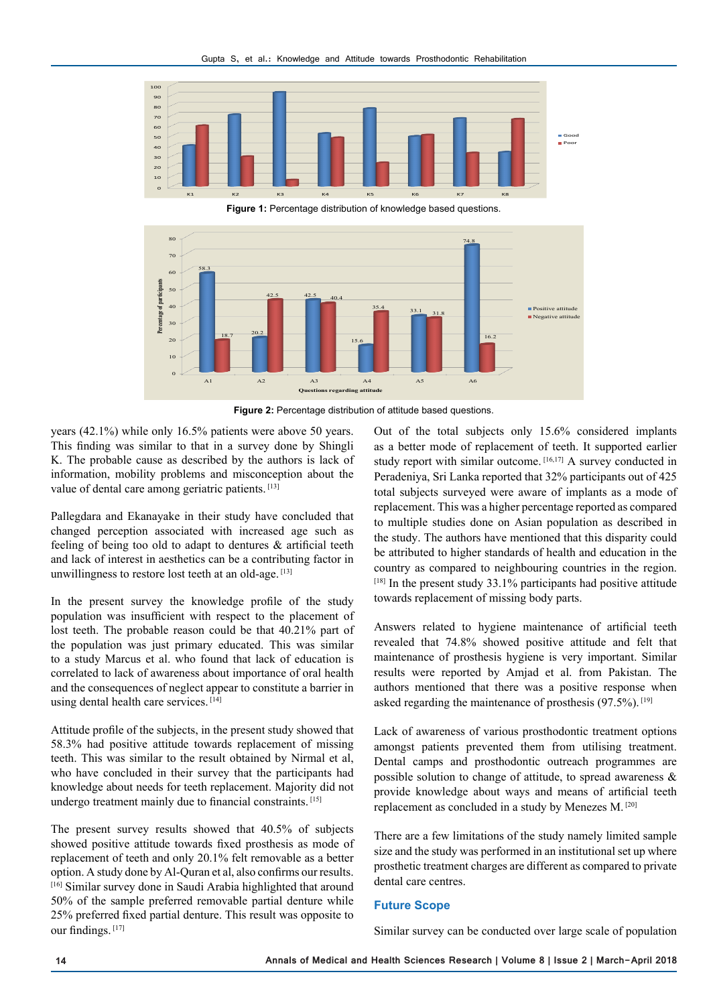

**Figure 1:** Percentage distribution of knowledge based questions.



**Figure 2:** Percentage distribution of attitude based questions.

years (42.1%) while only 16.5% patients were above 50 years. This finding was similar to that in a survey done by Shingli K. The probable cause as described by the authors is lack of information, mobility problems and misconception about the value of dental care among geriatric patients. [13]

Pallegdara and Ekanayake in their study have concluded that changed perception associated with increased age such as feeling of being too old to adapt to dentures & artificial teeth and lack of interest in aesthetics can be a contributing factor in unwillingness to restore lost teeth at an old-age. [13]

In the present survey the knowledge profile of the study population was insufficient with respect to the placement of lost teeth. The probable reason could be that 40.21% part of the population was just primary educated. This was similar to a study Marcus et al. who found that lack of education is correlated to lack of awareness about importance of oral health and the consequences of neglect appear to constitute a barrier in using dental health care services. [14]

Attitude profile of the subjects, in the present study showed that 58.3% had positive attitude towards replacement of missing teeth. This was similar to the result obtained by Nirmal et al, who have concluded in their survey that the participants had knowledge about needs for teeth replacement. Majority did not undergo treatment mainly due to financial constraints. [15]

The present survey results showed that 40.5% of subjects showed positive attitude towards fixed prosthesis as mode of replacement of teeth and only 20.1% felt removable as a better option. A study done by Al-Quran et al, also confirms our results. [16] Similar survey done in Saudi Arabia highlighted that around 50% of the sample preferred removable partial denture while 25% preferred fixed partial denture. This result was opposite to our findings.<sup>[17]</sup>

Out of the total subjects only 15.6% considered implants as a better mode of replacement of teeth. It supported earlier study report with similar outcome. [16,17] A survey conducted in Peradeniya, Sri Lanka reported that 32% participants out of 425 total subjects surveyed were aware of implants as a mode of replacement. This was a higher percentage reported as compared to multiple studies done on Asian population as described in the study. The authors have mentioned that this disparity could be attributed to higher standards of health and education in the country as compared to neighbouring countries in the region.  $[18]$  In the present study 33.1% participants had positive attitude towards replacement of missing body parts.

Answers related to hygiene maintenance of artificial teeth revealed that 74.8% showed positive attitude and felt that maintenance of prosthesis hygiene is very important. Similar results were reported by Amjad et al. from Pakistan. The authors mentioned that there was a positive response when asked regarding the maintenance of prosthesis (97.5%). [19]

Lack of awareness of various prosthodontic treatment options amongst patients prevented them from utilising treatment. Dental camps and prosthodontic outreach programmes are possible solution to change of attitude, to spread awareness  $\&$ provide knowledge about ways and means of artificial teeth replacement as concluded in a study by Menezes M. [20]

There are a few limitations of the study namely limited sample size and the study was performed in an institutional set up where prosthetic treatment charges are different as compared to private dental care centres.

#### **Future Scope**

Similar survey can be conducted over large scale of population